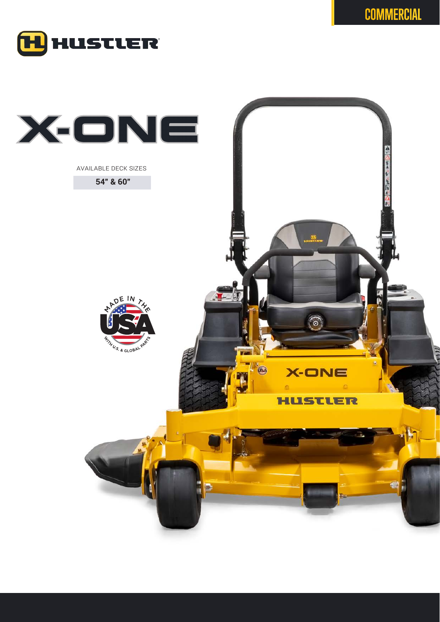

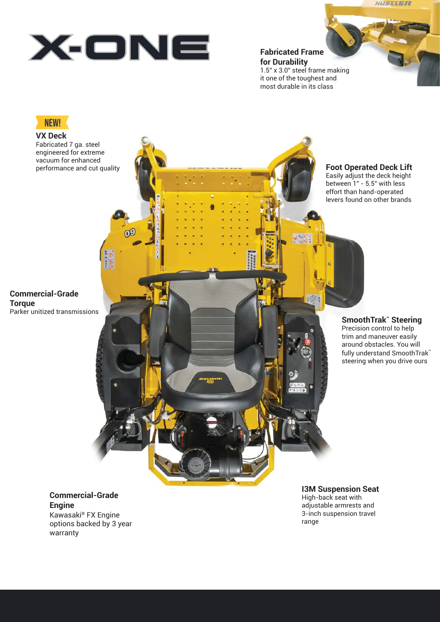**Fabricated Frame for Durability** 1.5" x 3.0" steel frame making it one of the toughest and most durable in its class

# **NEW!**

**VX Deck** Fabricated 7 ga. steel engineered for extreme vacuum for enhanced performance and cut quality

**Foot Operated Deck Lift** Easily adjust the deck height between 1" - 5.5" with less effort than hand-operated levers found on other brands

HUSTLER

#### **Commercial-Grade Torque** Parker unitized transmissions

**SmoothTrak™ Steering**

Precision control to help trim and maneuver easily around obstacles. You will fully understand SmoothTrak™ steering when you drive ours

### **Commercial-Grade Engine** Kawasaki® FX Engine options backed by 3 year warranty

## **I3M Suspension Seat**

High-back seat with adjustable armrests and 3-inch suspension travel range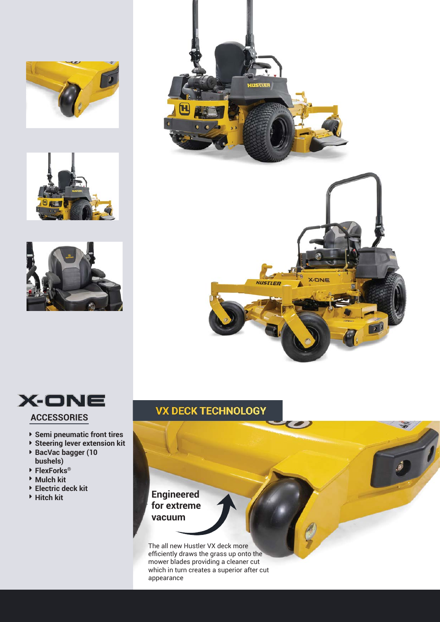











- **Semi pneumatic front tires**
- **Steering lever extension kit**
- **BacVac bagger (10 bushels)**
- **FlexForks®**
- **Mulch kit**
- **Electric deck kit**
- 

# **VX DECK TECHNOLOGY**

## **Engineered for extreme vacuum**

The all new Hustler VX deck more efficiently draws the grass up onto the mower blades providing a cleaner cut which in turn creates a superior after cut appearance